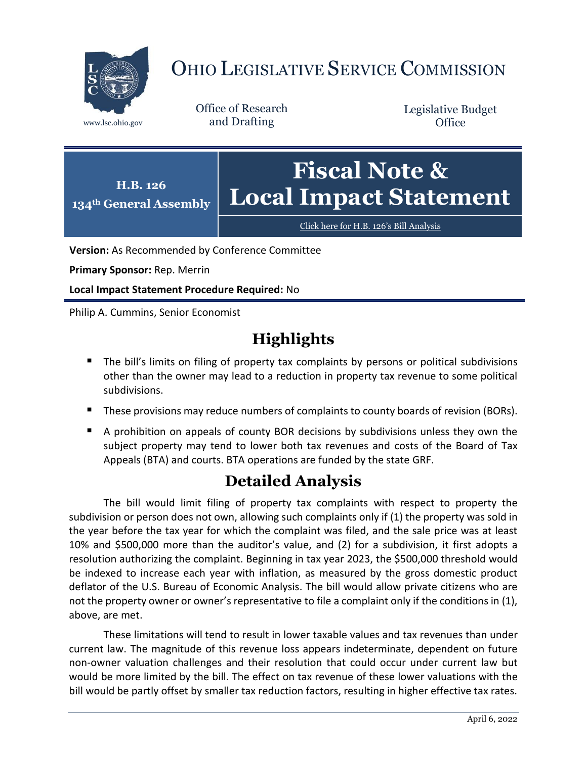

## OHIO LEGISLATIVE SERVICE COMMISSION

Office of Research www.lsc.ohio.gov and Drafting

Legislative Budget **Office** 



Click here for H.B. 126'[s Bill Analysis](https://www.legislature.ohio.gov/legislation/legislation-documents?id=GA134-HB-126)

**Version:** As Recommended by Conference Committee

**Primary Sponsor:** Rep. Merrin

**Local Impact Statement Procedure Required:** No

Philip A. Cummins, Senior Economist

## **Highlights**

- The bill's limits on filing of property tax complaints by persons or political subdivisions other than the owner may lead to a reduction in property tax revenue to some political subdivisions.
- **These provisions may reduce numbers of complaints to county boards of revision (BORs).**
- A prohibition on appeals of county BOR decisions by subdivisions unless they own the subject property may tend to lower both tax revenues and costs of the Board of Tax Appeals (BTA) and courts. BTA operations are funded by the state GRF.

## **Detailed Analysis**

The bill would limit filing of property tax complaints with respect to property the subdivision or person does not own, allowing such complaints only if (1) the property was sold in the year before the tax year for which the complaint was filed, and the sale price was at least 10% and \$500,000 more than the auditor's value, and (2) for a subdivision, it first adopts a resolution authorizing the complaint. Beginning in tax year 2023, the \$500,000 threshold would be indexed to increase each year with inflation, as measured by the gross domestic product deflator of the U.S. Bureau of Economic Analysis. The bill would allow private citizens who are not the property owner or owner's representative to file a complaint only if the conditions in (1), above, are met.

These limitations will tend to result in lower taxable values and tax revenues than under current law. The magnitude of this revenue loss appears indeterminate, dependent on future non-owner valuation challenges and their resolution that could occur under current law but would be more limited by the bill. The effect on tax revenue of these lower valuations with the bill would be partly offset by smaller tax reduction factors, resulting in higher effective tax rates.